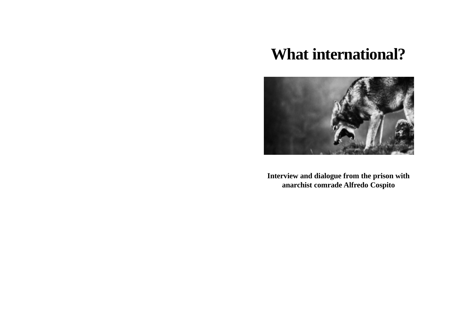## **What international?**



**Interview and dialogue from the prison with anarchist comrade Alfredo Cospito**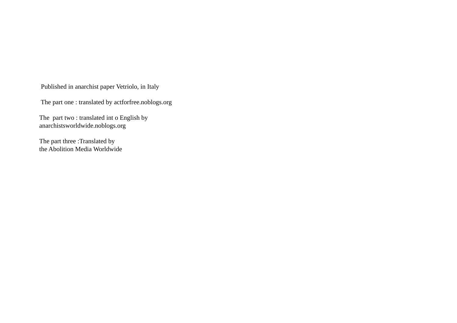Published in anarchist paper Vetriolo, in Italy

The part one : translated by actforfree.noblogs.org

The part two : translated int o English by anarchistsworldwide.noblogs.org

The part three :Translated by the Abolition Media Worldwide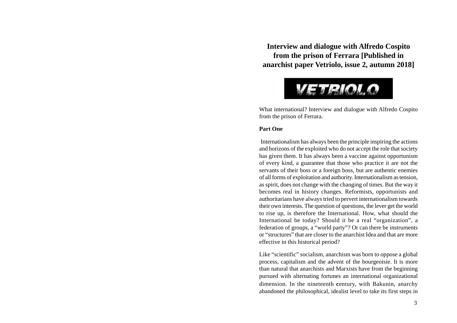**Interview and dialogue with Alfredo Cospito from the prison of Ferrara [Published in anarchist paper Vetriolo, issue 2, autumn 2018]**



What international? Interview and dialogue with Alfredo Cospito from the prison of Ferrara.

## **Part One**

 Internationalism has always been the principle inspiring the actions and horizons of the exploited who do not accept the role that society has given them. It has always been a vaccine against opportunism of every kind, a guarantee that those who practice it are not the servants of their boss or a foreign boss, but are authentic enemies of all forms of exploitation and authority. Internationalism as tension, as spirit, does not change with the changing of times. But the way it becomes real in history changes. Reformists, opportunists and authoritarians have always tried to pervert internationalism towards their own interests. The question of questions, the lever get the world to rise up, is therefore the International. How, what should the International be today? Should it be a real "organization", a federation of groups, a "world party"? Or can there be instruments or "structures" that are closer to the anarchist Idea and that are more effective in this historical period?

Like "scientific" socialism, anarchism was born to oppose a global process, capitalism and the advent of the bourgeoisie. It is more than natural that anarchists and Marxists have from the beginning pursued with alternating fortunes an international organizational dimension. In the nineteenth **c**entury, with Bakunin, anarchy abandoned the philosophical, idealist level to take its first steps in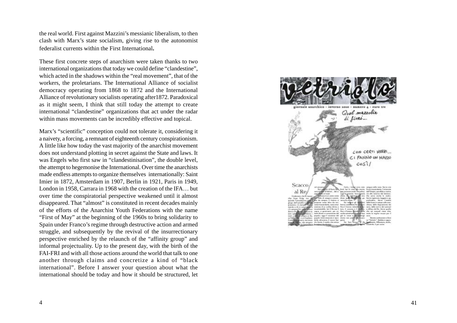the real world. First against Mazzini's messianic liberalism, to then clash with Marx's state socialism, giving rise to the autonomist federalist currents within the First International**.**

These first concrete steps of anarchism were taken thanks to two international organizations that today we could define "clandestine", which acted in the shadows within the "real movement", that of the workers, the proletarians. The International Alliance of socialist democracy operating from 1868 to 1872 and the International Alliance of revolutionary socialists operating after1872. Paradoxical as it might seem, I think that still today the attempt to create international "clandestine" organizations that act under the radar within mass movements can be incredibly effective and topical.

Marx's "scientific" conception could not tolerate it, considering it a naivety, a forcing, a remnant of eighteenth century conspirationism. A little like how today the vast majority of the anarchist movement does not understand plotting in secret against the State and laws. It was Engels who first saw in "clandestinisation", the double level, the attempt to hegemonise the International. Over time the anarchists made endless attempts to organize themselves internationally: Saint Imier in 1872, Amsterdam in 1907, Berlin in 1921, Paris in 1949, London in 1958, Carrara in 1968 with the creation of the IFA… but over time the conspiratorial perspective weakened until it almost disappeared. That "almost" is constituted in recent decades mainly of the efforts of the Anarchist Youth Federations with the name "First of May" at the beginning of the 1960s to bring solidarity to Spain under Franco's regime through destructive action and armed struggle, and subsequently by the revival of the insurrectionary perspective enriched by the relaunch of the "affinity group" and informal projectuality. Up to the present day, with the birth of the FAI-FRI and with all those actions around the world that talk to one another through claims and concretize a kind of "black international". Before I answer your question about what the international should be today and how it should be structured, let

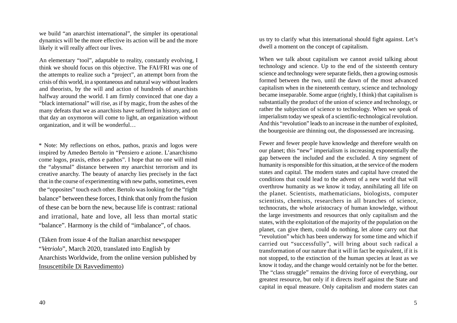we build "an anarchist international", the simpler its operational dynamics will be the more effective its action will be and the more likely it will really affect our lives.

An elementary "tool", adaptable to reality, constantly evolving, I think we should focus on this objective. The FAI/FRI was one of the attempts to realize such a "project", an attempt born from the crisis of this world, in a spontaneous and natural way without leaders and theorists, by the will and action of hundreds of anarchists halfway around the world. I am firmly convinced that one day a "black international" will rise, as if by magic, from the ashes of the many defeats that we as anarchists have suffered in history, and on that day an oxymoron will come to light, an organization without organization, and it will be wonderful…

\* Note: My reflections on ethos, pathos, praxis and logos were inspired by Amedeo Bertolo in "Pensiero e azione. L'anarchismo come logos, praxis, ethos e pathos". I hope that no one will mind the "abysmal" distance between my anarchist terrorism and its creative anarchy. The beauty of anarchy lies precisely in the fact that in the course of experimenting with new paths, sometimes, even the "opposites" touch each other. Bertolo was looking for the "right balance" between these forces, I think that only from the fusion of these can be born the new, because life is contrast: rational and irrational, hate and love, all less than mortal static "balance". Harmony is the child of "imbalance", of chaos.

(Taken from issue 4 of the Italian anarchist newspaper "*Vetriolo*", March 2020, translated into English by Anarchists Worldwide, from the online version published by Insuscettibile Di Ravvedimento)

us try to clarify what this international should fight against. Let's dwell a moment on the concept of capitalism.

When we talk about capitalism we cannot avoid talking about technology and science. Up to the end of the sixteenth century science and technology were separate fields, then a growing osmosis formed between the two, until the dawn of the most advanced capitalism when in the nineteenth century, science and technology became inseparable. Some argue (rightly, I think) that capitalism is substantially the product of the union of science and technology, or rather the subjection of science to technology. When we speak of imperialism today we speak of a scientific-technological revolution. And this "revolution" leads to an increase in the number of exploited, the bourgeoisie are thinning out, the dispossessed are increasing.

Fewer and fewer people have knowledge and therefore wealth on our planet; this "new" imperialism is increasing exponentially the gap between the included and the excluded. A tiny segment of humanity is responsible for this situation, at the service of the modern states and capital. The modern states and capital have created the conditions that could lead to the advent of a new world that will overthrow humanity as we know it today, annihilating all life on the planet. Scientists, mathematicians, biologists, computer scientists, chemists, researchers in all branches of science, technocrats, the whole aristocracy of human knowledge, without the large investments and resources that only capitalism and the states, with the exploitation of the majority of the population on the planet, can give them, could do nothing, let alone carry out that "revolution" which has been underway for some time and which if carried out "successfully", will bring about such radical a transformation of our nature that it will in fact be equivalent, if it is not stopped, to the extinction of the human species at least as we know it today, and the change would certainly not be for the better. The "class struggle" remains the driving force of everything, our greatest resource, but only if it directs itself against the State and capital in equal measure. Only capitalism and modern states can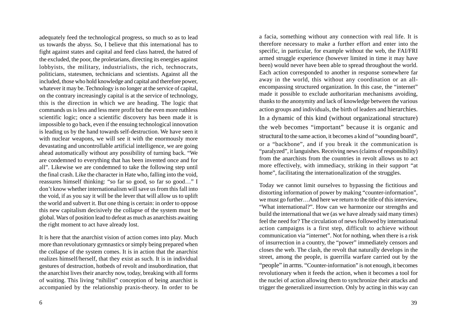adequately feed the technological progress, so much so as to lead us towards the abyss. So, I believe that this international has to fight against states and capital and feed class hatred, the hatred of the excluded, the poor, the proletarians, directing its energies against lobbyists, the military, industrialists, the rich, technocrats, politicians, statesmen, technicians and scientists. Against all the included, those who hold knowledge and capital and therefore power, whatever it may be. Technology is no longer at the service of capital. on the contrary increasingly capital is at the service of technology, this is the direction in which we are heading. The logic that commands us is less and less mere profit but the even more ruthless scientific logic; once a scientific discovery has been made it is impossible to go back, even if the ensuing technological innovation is leading us by the hand towards self-destruction. We have seen it with nuclear weapons, we will see it with the enormously more devastating and uncontrollable artificial intelligence, we are going ahead automatically without any possibility of turning back. "We are condemned to everything that has been invented once and for all". Likewise we are condemned to take the following step until the final crash. Like the character in Hate who, falling into the void, reassures himself thinking: "so far so good, so far so good…" I don't know whether internationalism will save us from this fall into the void, if as you say it will be the lever that will allow us to uplift the world and subvert it. But one thing is certain: in order to oppose this new capitalism decisively the collapse of the system must be global. Wars of position lead to defeat as much as anarchists awaiting the right moment to act have already lost.

It is here that the anarchist vision of action comes into play. Much more than revolutionary gymnastics or simply being prepared when the collapse of the system comes. It is in action that the anarchist realizes himself/herself, that they exist as such. It is in individual gestures of destruction, hotbeds of revolt and insubordination, that the anarchist lives their anarchy now, today, breaking with all forms of waiting. This living "nihilist" conception of being anarchist is accompanied by the relationship praxis-theory. In order to be a facia, something without any connection with real life. It is therefore necessary to make a further effort and enter into the specific, in particular, for example without the web, the FAI/FRI armed struggle experience (however limited in time it may have been) would never have been able to spread throughout the world. Each action corresponded to another in response somewhere far away in the world, this without any coordination or an allencompassing structured organization. In this case, the "internet" made it possible to exclude authoritarian mechanisms avoiding, thanks to the anonymity and lack of knowledge between the various action groups and individuals, the birth of leaders and hierarchies. In a dynamic of this kind (without organizational structure) the web becomes "important" because it is organic and structural to the same action, it becomes a kind of "sounding board", or a "backbone", and if you break it the communication is "paralyzed", it languishes. Receiving news (claims of responsibility) from the anarchists from the countries in revolt allows us to act more effectively, with immediacy, striking in their support "at home", facilitating the internationalization of the struggles.

Today we cannot limit ourselves to bypassing the fictitious and distorting information of power by making "counter-information", we must go further…And here we return to the title of this interview, "What international?". How can we harmonize our strengths and build the international that we (as we have already said many times) feel the need for? The circulation of news followed by international action campaigns is a first step, difficult to achieve without communication via "internet". Not for nothing, when there is a risk of insurrection in a country, the "power" immediately censors and closes the web. The clash, the revolt that naturally develops in the street, among the people, is guerrilla warfare carried out by the "people" in arms. "Counter-information" is not enough, it becomes revolutionary when it feeds the action, when it becomes a tool for the nuclei of action allowing them to synchronize their attacks and trigger the generalized insurrection. Only by acting in this way can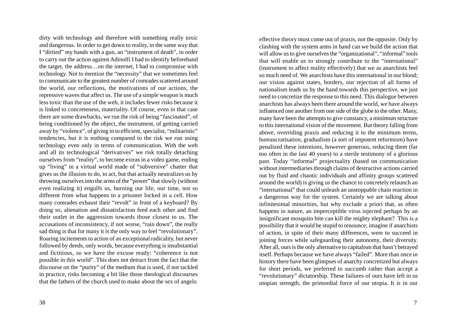dirty with technology and therefore with something really toxic and dangerous. In order to get down to reality, in the same way that I "dirtied" my hands with a gun, an "instrument of death", in order to carry out the action against Adinolfi I had to identify beforehand the target, the address…on the internet, I had to compromise with technology. Not to mention the "necessity" that we sometimes feel to communicate to the greatest number of comrades scattered around the world, our reflections, the motivations of our actions, the repressive waves that affect us. The use of a simple weapon is much less toxic than the use of the web, it includes fewer risks because it is linked to concreteness, materiality. Of course, even in that case there are some drawbacks, we run the risk of being "fascinated", of being conditioned by the object, the instrument, of getting carried away by "violence", of giving in to efficient, specialist, "militaristic" tendencies, but it is nothing compared to the risk we run using technology even only in terms of communication. With the web and all its technological "derivatives" we risk totally detaching ourselves from "reality", to become extras in a video game, ending up "living" in a virtual world made of "subversive" chatter that gives us the illusion to do, to act, but that actually neutralizes us by throwing ourselves into the arms of the "power" that slowly (without even realizing it) engulfs us, burning our life, our time, not so different from what happens to a prisoner locked in a cell. How many comrades exhaust their "revolt" in front of a keyboard? By doing so, alienation and dissatisfaction feed each other and find their outlet in the aggression towards those closest to us. The accusations of inconsistency, if not worse, "rain down", the really sad thing is that for many it is the only way to feel "revolutionary". Roaring incitements to action of an exceptional radicality, but never followed by deeds, only words, because everything is insubstantial and fictitious, so we have the excuse ready: "coherence is not possible in this world". This does not detract from the fact that the discourse on the "purity" of the medium that is used, if not tackled in practice, risks becoming a bit like those theological discourses that the fathers of the church used to make about the sex of angels:

effective theory must come out of praxis, not the opposite. Only by clashing with the system arms in hand can we build the action that will allow us to give ourselves the "organizational", "informal" tools that will enable us to strongly contribute to the "international" (instrument to affect reality effectively) that we as anarchists feel so much need of. We anarchists have this international in our blood; our vision against states, borders, our rejection of all forms of nationalism leads us by the hand towards this perspective, we just need to concretize the response to this need. This dialogue between anarchists has always been there around the world, we have always influenced one another from one side of the globe to the other. Many, many have been the attempts to give constancy, a minimum structure to this international vision of the movement. But theory falling from above, overriding praxis and reducing it to the minimum terms, bureaucratisation, gradualism (a sort of impotent reformism) have penalized these intentions, however generous, reducing them (far too often in the last 40 years) to a sterile testimony of a glorious past. Today "informal" projectuality (based on communication without intermediaries through claims of destructive actions carried out by fluid and chaotic individuals and affinity groups scattered around the world) is giving us the chance to concretely relaunch an "international" that could unleash an unstoppable chain reaction in a dangerous way for the system. Certainly we are talking about infinitesimal minorities, but why exclude a priori that, as often happens in nature, an imperceptible virus injected perhaps by an insignificant mosquito bite can kill the mighty elephant? This is a possibility that it would be stupid to renounce; imagine if anarchists of action, in spite of their many differences, were to succeed in joining forces while safeguarding their autonomy, their diversity. After all, ours is the only alternative to capitalism that hasn't betrayed itself. Perhaps because we have always "failed". More than once in history there have been glimpses of anarchy concretized but always for short periods, we preferred to succumb rather than accept a "revolutionary" dictatorship. These failures of ours have left in us utopian strength, the primordial force of our utopia. It is in our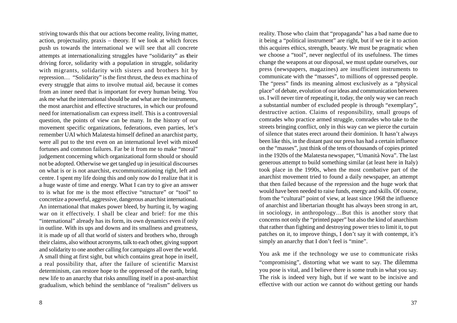striving towards this that our actions become reality, living matter, action, projectuality, praxis – theory. If we look at which forces push us towards the international we will see that all concrete attempts at internationalizing struggles have "solidarity" as **t**heir driving force, solidarity with a population in struggle, solidarity with migrants, solidarity with sisters and brothers hit by repression… "Solidarity" is the first thrust, the deus ex machina of every struggle that aims to involve mutual aid, because it comes from an inner need that is important for every human being. You ask me what the international should be and what are the instruments, the most anarchist and effective structures, in which our profound need for internationalism can express itself. This is a controversial question, the points of view can be many. In the history of our movement specific organizations, federations, even parties, let's remember UAI which Malatesta himself defined an anarchist party, were all put to the test even on an international level with mixed fortunes and common failures. Far be it from me to make "moral" judgement concerning which organizational form should or should not be adopted. Otherwise we get tangled up in jesuitical discourses on what is or is not anarchist, excommunicationing right, left and centre. I spent my life doing this and only now do I realize that it is a huge waste of time and energy. What I can try to give an answer to is what for me is the most effective "structure" or "tool" to concretize a powerful, aggressive, dangerous anarchist international. An international that makes power bleed, by hurting it, by waging war on it effectively. I shall be clear and brief: for me this "international" already has its form, its own dynamics even if only in outline. With its ups and downs and its smallness and greatness, it is made up of all that world of sisters and brothers who, through their claims, also without acronyms, talk to each other, giving support and solidarity to one another calling for campaigns all over the world. A small thing at first sight, but which contains great hope in itself, a real possibility that, after the failure of scientific Marxist determinism, can restore hope to the oppressed of the earth, bring new life to an anarchy that risks annulling itself in a post-anarchist gradualism, which behind the semblance of "realism" delivers us

reality. Those who claim that "propaganda" has a bad name due to it being a "political instrument" are right, but if we tie it to action this acquires ethics, strength, beauty. We must be pragmatic when we choose a "tool", never neglectful of its usefulness. The times change the weapons at our disposal, we must update ourselves, our press (newspapers, magazines) are insufficient instruments to communicate with the "masses", to millions of oppressed people. The "press" finds its meaning almost exclusively as a "physical place" of debate, evolution of our ideas and communication between us. I will never tire of repeating it, today, the only way we can reach a substantial number of excluded people is through "exemplary", destructive action. Claims of responsibility, small groups of comrades who practice armed struggle, comrades who take to the streets bringing conflict, only in this way can we pierce the curtain of silence that states erect around their dominion. It hasn't always been like this, in the distant past our press has had a certain influence on the "masses", just think of the tens of thousands of copies printed in the 1920s of the Malatesta newspaper, "Umanità Nova". The last generous attempt to build something similar (at least here in Italy) took place in the 1990s, when the most combative part of the anarchist movement tried to found a daily newspaper, an attempt that then failed because of the repression and the huge work that would have been needed to raise funds, energy and skills. Of course, from the "cultural" point of view, at least since 1968 the influence of anarchist and libertarian thought has always been strong in art, in sociology, in anthropology…But this is another story that concerns not only the "printed paper" but also the kind of anarchism that rather than fighting and destroying power tries to limit it, to put patches on it, to improve things, I don't say it with contempt, it's simply an anarchy that I don't feel is "mine".

You ask me if the technology we use to communicate risks "compromising", distorting what we want to say. The dilemma you pose is vital, and I believe there is some truth in what you say. The risk is indeed very high, but if we want to be incisive and effective with our action we cannot do without getting our hands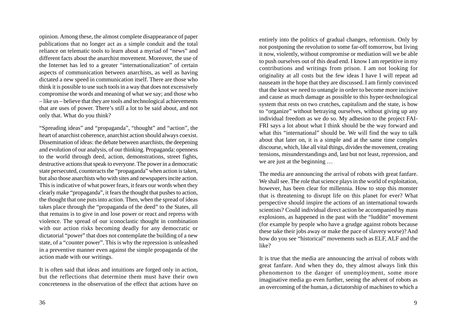opinion. Among these, the almost complete disappearance of paper publications that no longer act as a simple conduit and the total reliance on telematic tools to learn about a myriad of "news" and different facts about the anarchist movement. Moreover, the use of the Internet has led to a greater "internationalization" of certain aspects of communication between anarchists, as well as having dictated a new speed in communication itself. There are those who think it is possible to use such tools in a way that does not excessively compromise the words and meaning of what we say; and those who – like us – believe that they are tools and technological achievements that are uses of power. There's still a lot to be said about, and not only that. What do you think?

"Spreading ideas" and "propaganda", "thought" and "action", the heart of anarchist coherence, anarchist action should always coexist. Dissemination of ideas: the debate between anarchists, the deepening and evolution of our analysis, of our thinking. Propaganda: openness to the world through deed, action, demonstrations, street fights, destructive actions that speak to everyone. The power in a democratic state persecuted, counteracts the "propaganda" when action is taken, but also those anarchists who with sites and newspapers incite action. This is indicative of what power fears, it fears our words when they clearly make "propaganda", it fears the thought that pushes to action, the thought that one puts into action. Then, when the spread of ideas takes place through the "propaganda of the deed" to the States, all that remains is to give in and lose power or react and repress with violence. The spread of our iconoclastic thought in combination with our action risks becoming deadly for any democratic or dictatorial "power" that does not contemplate the building of a new state, of a "counter power". This is why the repression is unleashed in a preventive manner even against the simple propaganda of the action made with our writings.

It is often said that ideas and intuitions are forged only in action, but the reflections that determine them must have their own concreteness in the observation of the effect that actions have on

entirely into the politics of gradual changes, reformism. Only by not postponing the revolution to some far-off tomorrow, but living it now, violently, without compromise or mediation will we be able to push ourselves out of this dead end. I know I am repetitive in my contributions and writings from prison. I am not looking for originality at all costs but the few ideas I have I will repeat ad nauseam in the hope that they are discussed. I am firmly convinced that the knot we need to untangle in order to become more incisive and cause as much damage as possible to this hyper-technological system that rests on two crutches, capitalism and the state, is how to "organize" without betraying ourselves, without giving up any individual freedom as we do so. My adhesion to the project FAI-FRI says a lot about what I think should be the way forward and what this "international" should be. We will find the way to talk about that later on, it is a simple and at the same time complex discourse, which, like all vital things, divides the movement, creating tensions, misunderstandings and, last but not least, repression, and we are just at the beginning …

The media are announcing the arrival of robots with great fanfare. We shall see. The role that science plays in the world of exploitation, however, has been clear for millennia. How to stop this monster that is threatening to disrupt life on this planet for ever? What perspective should inspire the actions of an international towards scientists? Could individual direct action be accompanied by mass explosions, as happened in the past with the "luddite" movement (for example by people who have a grudge against robots because these take their jobs away or make the pace of slavery worse)? And how do you see "historical" movements such as ELF, ALF and the like?

It is true that the media are announcing the arrival of robots with great fanfare. And when they do, they almost always link this phenomenon to the danger of unemployment, some more imaginative media go even further, seeing the advent of robots as an overcoming of the human, a dictatorship of machines to which a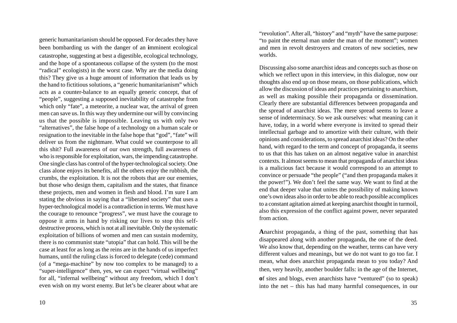generic humanitarianism should be opposed. For decades they have been bombarding us with the danger of an **i**mminent ecological catastrophe, suggesting at best a digestible, ecological technology, and the hope of a spontaneous collapse of the system (to the most "radical" ecologists) in the worst case. Why are the media doing this? They give us a huge amount of information that leads us by the hand to fictitious solutions, a "generic humanitarianism" which acts as a counter-balance to an equally generic concept, that of "people", suggesting a supposed inevitability of catastrophe from which only "fate", a meteorite, a nuclear war, the arrival of green men can save us. In this way they undermine our will by convincing us that the possible is impossible. Leaving us with only two "alternatives", the false hope of a technology on a human scale or resignation to the inevitable in the false hope that "god", "fate" will deliver us from the nightmare. What could we counterpose to all this shit? Full awareness of our own strength, full awareness of who is responsible for exploitation, wars, the impending catastrophe. One single class has control of the hyper-technological society. One class alone enjoys its benefits, all the others enjoy the rubbish, the crumbs, the exploitation. It is not the robots that are our enemies, but those who design them, capitalism and the states, that finance these projects, men and women in flesh and blood. I'm sure I am stating the obvious in saying that a "liberated society" that uses a hyper-technological model is a contradiction in terms. We must have the courage to renounce "progress", we must have the courage to oppose it arms in hand by risking our lives to stop this selfdestructive process, which is not at all inevitable. Only the systematic exploitation of billions of women and men can sustain modernity, there is no communist state "utopia" that can hold. This will be the case at least for as long as the reins are in the hands of us imperfect humans, until the ruling class is forced to delegate (cede) command (of a "mega-machine" by now too complex to be managed) to a "super-intelligence" then, yes, we can expect "virtual wellbeing" for all, "infernal wellbeing" without any freedom, which I don't even wish on my worst enemy. But let's be clearer about what are

"revolution". After all, "history" and "myth" have the same purpose: "to paint the eternal man under the man of the moment"; women and men in revolt destroyers and creators of new societies, new worlds.

Discussing also some anarchist ideas and concepts such as those on which we reflect upon in this interview, in this dialogue, now our thoughts also end up on those means, on those publications, which allow the discussion of ideas and practices pertaining to anarchism, as well as making possible their propaganda or dissemination. Clearly there are substantial differences between propaganda and the spread of anarchist ideas. The mere spread seems to leave a sense of indeterminacy. So we ask ourselves: what meaning can it have, today, in a world where everyone is invited to spread their intellectual garbage and to amortize with their culture, with their opinions and considerations, to spread anarchist ideas? On the other hand, with regard to the term and concept of propaganda, it seems to us that this has taken on an almost negative value in anarchist contexts. It almost seems to mean that propaganda of anarchist ideas is a malicious fact because it would correspond to an attempt to convince or persuade "the people" ("and then propaganda makes it the power!"). We don't feel the same way. We want to find at the end that deeper value that unites the possibility of making known one's own ideas also in order to be able to reach possible accomplices to a constant agitation aimed at keeping anarchist thought in turmoil, also this expression of the conflict against power, never separated from action.

**A**narchist propaganda, a thing of the past, something that has disappeared along with another propaganda, the one of the deed. We also know that, depending on the weather, terms can have very different values and meanings, but we do not want to go too far. I mean, what does anarchist propaganda mean to you today? And then, very heavily, another boulder falls: in the age of the Internet, **<sup>o</sup>**f sites and blogs, even anarchists have "ventured" (so to speak) into the net – this has had many harmful consequences, in our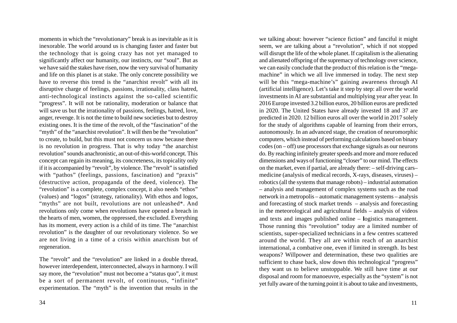moments in which the "revolutionary" break is as inevitable as it is inexorable. The world around us is changing faster and faster but the technology that is going crazy has not yet managed to significantly affect our humanity, our instincts, our "soul". But as we have said the stakes have risen, now the very survival of humanity and life on this planet is at stake. The only concrete possibility we have to reverse this trend is the "anarchist revolt" with all its disruptive charge of feelings, passions, irrationality, class hatred, anti-technological instincts against the so-called scientific "progress". It will not be rationality, moderation or balance that will save us but the irrationality of passions, feelings, hatred, love, anger, revenge. It is not the time to build new societies but to destroy existing ones. It is the time of the revolt, of the "fascination" of the "myth" of the "anarchist revolution". It will then be the "revolution" to create, to build, but this must not concern us now because there is no revolution in progress. That is why today "the anarchist revolution" sounds anachronistic, an out-of-this-world concept. This concept can regain its meaning, its concreteness, its topicality only if it is accompanied by "revolt", by violence. The "revolt" is satisfied with "pathos" (feelings, passions, fascination) and "praxis" (destructive action, propaganda of the deed, violence). The "revolution" is a complete, complex concept, it also needs "ethos" (values) and "logos" (strategy, rationality). With ethos and logos, "myths" are not built, revolutions are not unleashed\*. And revolutions only come when revolutions have opened a breach in the hearts of men, women, the oppressed, the excluded. Everything has its moment, every action is a child of its time. The "anarchist revolution" is the daughter of our revolutionary violence. So we are not living in a time of a crisis within anarchism but of regeneration.

The "revolt" and the "revolution" are linked in a double thread, however interdependent, interconnected, always in harmony. I will say more, the "revolution" must not become a "status quo", it must be a sort of permanent revolt, of continuous, "infinite" experimentation. The "myth" is the invention that results in the

34

we talking about: however "science fiction" and fanciful it might seem, we are talking about a "revolution", which if not stopped will disrupt the life of the whole planet. If capitalism is the alienating and alienated offspring of the supremacy of technology over science, we can easily conclude that the product of this relation is the "megamachine" in which we all live immersed in today. The next step will be this "mega-machine's" gaining awareness through AI (artificial intelligence). Let's take it step by step: all over the world investments in AI are substantial and multiplying year after year. In 2016 Europe invested 3.2 billion euros, 20 billion euros are predicted in 2020. The United States have already invested 18 and 37 are predicted in 2020. 12 billion euros all over the world in 2017 solely for the study of algorithms capable of learning from their errors, autonomously. In an advanced stage, the creation of neuromorphic computers, which instead of performing calculations based on binary codes (on – off) use processors that exchange signals as our neurons do. By reaching infinitely greater speeds and more and more reduced dimensions and ways of functioning "closer" to our mind. The effects on the market, even if partial, are already there: – self-driving cars– medicine (analysis of medical records, X-rays, diseases, viruses) – robotics (all the systems that manage robots) – industrial automation – analysis and management of complex systems such as the road network in a metropolis – automatic management systems – analysis and forecasting of stock market trends – analysis and forecasting in the meteorological and agricultural fields – analysis of videos and texts and images published online – **l**ogistics management. Those running this "revolution" today are a limited number of scientists, super-specialized technicians in a few centres scattered around the world. They all are within reach of an anarchist international, a combative one, even if limited in strength. Its best weapons? Willpower and determination, these two qualities are sufficient to chase back, slow down this technological "progress" they want us to believe unstoppable. We still have time at our disposal and room for manoeuvre, especially as the "system" is not yet fully aware of the turning point it is about to take and investments,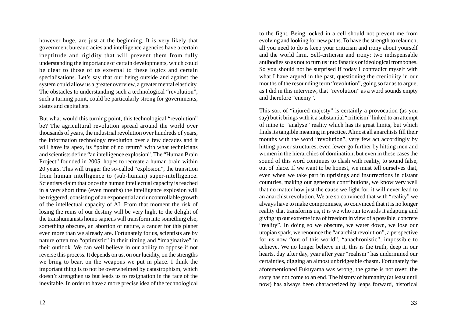however huge, are just at the beginning. It is very likely that government bureaucracies and intelligence agencies have a certain ineptitude and rigidity that will prevent them from fully understanding the importance of certain developments, which could be clear to those of us external to these logics and certain specialisations. Let's say that our being outside and against the system could allow us a greater overview, a greater mental elasticity. The obstacles to understanding such a technological "revolution", such a turning point, could be particularly strong for governments, states and capitalists.

But what would this turning point, this technological "revolution" be? The agricultural revolution spread around the world over thousands of years, the industrial revolution over hundreds of years, the information technology revolution over a few decades and it will have its apex, its "point of no return" with what technicians and scientists define "an intelligence explosion". The "Human Brain Project" founded in 2005 hopes to recreate a human brain within 20 years. This will trigger the so-called "explosion", the transition from human intelligence to (sub-human) super-intelligence. Scientists claim that once the human intellectual capacity is reached in a very short time (even months) the intelligence explosion will be triggered, consisting of an exponential and uncontrollable growth of the intellectual capacity of AI. From that moment the risk of losing the reins of our destiny will be very high, to the delight of the transhumanists homo sapiens will transform into something else, something obscure, an abortion of nature, a cancer for this planet even more than we already are. Fortunately for us, scientists are by nature often too "optimistic" in their timing and "imaginative" in their outlook. We can well believe in our ability to oppose if not reverse this process. It depends on us, on our lucidity, on the strengths we bring to bear, on the weapons we put in place. I think the important thing is to not be overwhelmed by catastrophism, which doesn't strengthen us but leads us to resignation in the face of the inevitable. In order to have a more precise idea of the technological

to the fight. Being locked in a cell should not prevent me from evolving and looking for new paths. To have the strength to relaunch, all you need to do is keep your criticism and irony about yourself and the world firm. Self-criticism and irony: two indispensable antibodies so as not to turn us into fanatics or ideological trombones. So you should not be surprised if today I contradict myself with what I have argued in the past, questioning the credibility in our mouths of the resounding term "revolution", going so far as to argue, as I did in this interview, that "revolution" as a word sounds empty and therefore "enemy".

This sort of "injured majesty" is certainly a provocation (as you say) but it brings with it a substantial "criticism" linked to an attempt of mine to "analyse" reality which has its great limits, but which finds its tangible meaning in practice. Almost all anarchists fill their mouths with the word "revolution", very few act accordingly by hitting power structures, even fewer go further by hitting men and women in the hierarchies of domination, but even in these cases the sound of this word continues to clash with reality, to sound false, out of place. If we want to be honest, we must tell ourselves that, even when we take part in uprisings and insurrections in distant countries, making our generous contributions, we know very well that no matter how just the cause we fight for, it will never lead to an anarchist revolution. We are so convinced that with "reality" we always have to make compromises, so convinced that it is no longer reality that transforms us, it is we who run towards it adapting and giving up our extreme idea of freedom in view of a possible, concrete "reality". In doing so we obscure, we water down, we lose our utopian spark, we renounce the "anarchist revolution", a perspective for us now "out of this world", "anachronistic", impossible to achieve. We no longer believe in it, this is the truth, deep in our hearts, day after day, year after year "realism" has undermined our certainties, digging an almost unbridgeable chasm. Fortunately the aforementioned Fukuyama was wrong, the game is not over, the story has not come to an end. The history of humanity (at least until now) has always been characterized by leaps forward, historical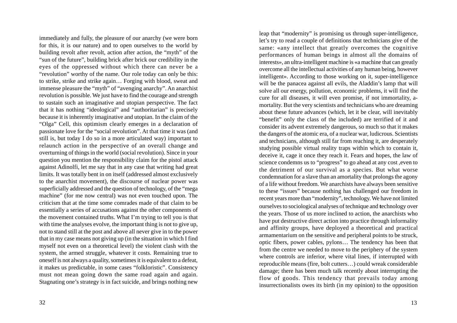immediately and fully, the pleasure of our anarchy (we were born for this, it is our nature) and to open ourselves to the world by building revolt after revolt, action after action, the "myth" of the "sun of the future", building brick after brick our credibility in the eyes of the oppressed without which there can never be a "revolution" worthy of the name. Our role today can only be this: to strike, strike and strike again… Forging with blood, sweat and immense pleasure the "myth" of "avenging anarchy". An anarchist revolution is possible. We just have to find the courage and strength to sustain such an imaginative and utopian perspective. The fact that it has nothing "ideological" and "authoritarian" is precisely because it is inherently imaginative and utopian. In the claim of the "Olga" Cell, this optimism clearly emerges in a declaration of passionate love for the "social revolution". At that time it was (and still is, but today I do so in a more articulated way) important to relaunch action in the perspective of an overall change and overturning of things in the world (social revolution). Since in your question you mention the responsibility claim for the pistol attack against Adinolfi, let me say that in any case that writing had great limits. It was totally bent in on itself (addressed almost exclusively to the anarchist movement), the discourse of nuclear power was superficially addressed and the question of technology, of the "mega machine" (for me now central) was not even touched upon. The criticism that at the time some comrades made of that claim to be essentially a series of accusations against the other components of the movement contained truths. What I'm trying to tell you is that with time the analyses evolve, the important thing is not to give up, not to stand still at the post and above all never give in to the power that in my case means not giving up (in the situation in which I find myself not even on a theoretical level) the violent clash with the system, the armed struggle, whatever it costs. Remaining true to oneself is not always a quality, sometimes it is equivalent to a defeat, it makes us predictable, in some cases "folkloristic". Consistency must not mean going down the same road again and again. Stagnating one's strategy is in fact suicide, and brings nothing new

leap that "modernity" is promising us through super-intelligence, let's try to read a couple of definitions that technicians give of the same: «any intellect that greatly overcomes the cognitive performances of human beings in almost all the domains of interests», an ultra-intelligent machine is «a machine that can greatly overcome all the intellectual activities of any human being, however intelligent». According to those working on it, super-intelligence will be the panacea against all evils, the Aladdin's lamp that will solve all our energy, pollution, economic problems, it will find the cure for all diseases, it will even promise, if not immortality, amortality. But the very scientists and technicians who are dreaming about these future advances (which, let it be clear, will inevitably "benefit" only the class of the included) are terrified of it and consider its advent extremely dangerous, so much so that it makes the dangers of the atomic era, of a nuclear war, ludicrous. Scientists and technicians, although still far from reaching it, are desperately studying possible virtual reality traps within which to contain it, deceive it, cage it once they reach it. Fears and hopes, the law of science condemns us to "progress" to go ahead at any cost ,even to the detriment of our survival as a species. But what worse condemnation for a slave than an amortality that prolongs the agony of a life without freedom. We anarchists have always been sensitive to these "issues" because nothing has challenged our freedom in recent years more than "modernity", technology. We have not limited ourselves to sociological analyses of technique and **t**echnology over the years. Those of us more inclined to action, the anarchists who have put destructive direct action into practice through informality and affinity groups, have deployed a theoretical and practical armamentarium on the sensitive and peripheral points to be struck, optic fibers, power cables, pylons… The tendency has been that from the centre we needed to move to the periphery of the system where controls are inferior, where vital lines, if interrupted with reproducible means (fire, bolt cutters…) could wreak considerable damage; there has been much talk recently about interrupting the flow of goods. This tendency that prevails today among insurrectionalists owes its birth (in my opinion) to the opposition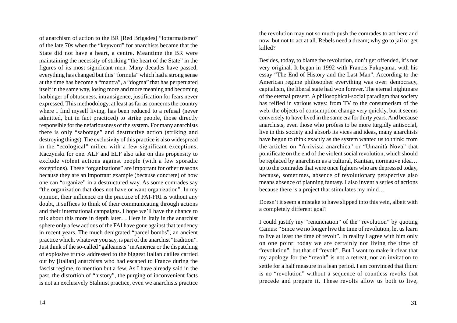of anarchism of action to the BR [Red Brigades] "lottarmatismo" of the late 70s when the "keyword" for anarchists became that the State did not have a heart, a centre. Meantime the BR were maintaining the necessity of striking "the heart of the State" in the figures of its most significant men. Many decades have passed, everything has changed but this "formula" which had a strong sense at the time has become a "mantra", a "dogma" that has perpetuated itself in the same way, losing more and more meaning and becoming harbinger of obtuseness, intransigence, justification for fears never expressed. This methodology, at least as far as concerns the country where I find myself living, has been reduced to a refusal (never admitted, but in fact practiced) to strike people, those directly responsible for the nefariousness of the system. For many anarchists there is only "sabotage" and destructive action (striking and destroying things). The exclusivity of this practice is also widespread in the "ecological" milieu with a few significant exceptions, Kaczynski for one. ALF and ELF also take on this propensity to exclude violent actions against people (with a few sporadic exceptions). These "organizations" are important for other reasons because they are an important example (because concrete) of how one can "organize" in a destructured way. As some comrades say "the organization that does not have or want organization". In my opinion, their influence on the practice of FAI-FRI is without any doubt, it suffices to think of their communicating through actions and their international campaigns. I hope we'll have the chance to talk about this more in depth later… Here in Italy in the anarchist sphere only a few actions of the FAI have gone against that tendency in recent years. The much denigrated "parcel bombs", an ancient practice which, whatever you say, is part of the anarchist "tradition". Just think of the so-called "galleanists" in America or the dispatching of explosive trunks addressed to the biggest Italian dailies carried out by [Italian] anarchists who had escaped to France during the fascist regime, to mention but a few. As I have already said in the past, the distortion of "history", the purging of inconvenient facts is not an exclusively Stalinist practice, even we anarchists practice

14

the revolution may not so much push the comrades to act here and now, but not to act at all. Rebels need a dream; why go to jail or get killed?

Besides, today, to blame the revolution, don't get offended, it's not very original. It began in 1992 with Francis Fukuyama, with his essay "The End of History and the Last Man". According to the American regime philosopher everything was over: democracy, capitalism, the liberal state had won forever. The eternal nightmare of the eternal present. A philosophical-social paradigm that society has reified in various ways: from TV to the consumerism of the web, the objects of consumption change very quickly, but it seems conversely to have lived in the same era for thirty years. And because anarchists, even those who profess to be more turgidly antisocial, live in this society and absorb its vices and ideas, many anarchists have begun to think exactly as the system wanted us to think: from the articles on "A-rivista anarchica" or "Umanità Nova" that pontificate on the end of the violent social revolution, which should be replaced by anarchism as a cultural, Kantian, normative idea… up to the comrades that were once fighters who are depressed today, because, sometimes, absence of revolutionary perspective also means absence of planning fantasy. I also invent a series of actions because there is a project that stimulates my mind…

Doesn't it seem a mistake to have slipped into this vein, albeit with a completely different goal?

I could justify my "renunciation" of the "revolution" by quoting Camus: "Since we no longer live the time of revolution, let us learn to live at least the time of revolt". In reality I agree with him only on one point: today we are certainly not living the time of "revolution", but that of "revolt". But I want to make it clear that my apology for the "revolt" is not a retreat, nor an invitation to settle for a half measure in a lean period. I am convinced that there is no "revolution" without a sequence of countless revolts that precede and prepare it. These revolts allow us both to live,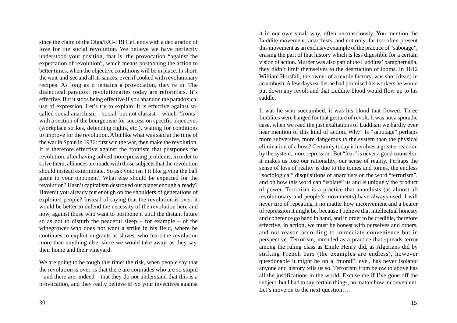since the claim of the Olga/FAI-FRI Cell ends with a declaration of love for the social revolution. We believe we have perfectly understood your position, that is, the provocation "against the expectation of revolution", which means postponing the action to better times, when the objective conditions will be in place. In short, the wait-and-see and all its sauces, even if cooked with revolutionary recipes. As long as it remains a provocation, they're in. The dialectical paradox: revolutionaries today are reformists. It's effective. But it stops being effective if you abandon the paradoxical use of expression. Let's try to explain. It is effective against socalled social anarchism – social, but not classist – which "fronts" with a section of the bourgeoisie for success on specific objectives (workplace strikes, defending rights, etc.), waiting for conditions to improve for the revolution. A bit like what was said at the time of the war in Spain in 1936: first win the war, then make the revolution. It is therefore effective against the frontism that postpones the revolution, after having solved more pressing problems, in order to solve them, alliances are made with those subjects that the revolution should instead exterminate. So ask you: isn't it like giving the ball game to your opponent? What else should be expected for the revolution? Hasn't capitalism destroyed our planet enough already? Haven't you already put enough on the shoulders of generations of exploited people? Instead of saying that the revolution is over, it would be better to defend the necessity of the revolution here and now, against those who want to postpone it until the distant future so as not to disturb the peaceful sleep – for example – of the winegrower who does not want a strike in his field, where he continues to exploit migrants as slaves, who fears the revolution more than anything else, since we would take away, as they say, their home and their vineyard.

We are going to be tough this time: the risk, when people say that the revolution is over, is that there are comrades who are so stupid – and there are, indeed – that they do not understand that this is a provocation, and they really believe it! So your invectives against it in our own small way, often unconsciously. You mention the Luddite movement, anarchists, and not only, far too often present this movement as an exclusive example of the practice of "sabotage", erasing the part of that history which is less digestible for a certain vision of action. Murder was also part of the Luddites' paraphernalia, they didn't limit themselves to the destruction of looms. In 1812 William Horsfall, the owner of a textile factory, was shot (dead) in an ambush. A few days earlier he had promised his workers he would put down any revolt and that Luddite blood would flow up to his saddle.

It was he who succumbed, it was his blood that flowed. Three Luddites were hanged for that gesture of revolt. It was not a sporadic case, when we read the just exaltations of Luddism we hardly ever hear mention of this kind of action. Why? Is "sabotage" perhaps more subversive, more dangerous to the system than the physical elimination of a boss? Certainly today it involves a greater reaction by the system, more repression. But "fear" is never a good counselor, it makes us lose our rationality, our sense of reality. Perhaps the sense of loss of reality is due to the tomes and tomes, the endless "sociological" disquisitions of anarchists on the word "terrorism", and on how this word can "isolate" us and is uniquely the product of power. Terrorism is a practice that anarchists (as almost all revolutionary and people's movements) have always used. I will never tire of repeating it no matter how inconvenient and a bearer of repression it might be, because I believe that intellectual honesty and coherence go hand in hand, and in order to be credible, therefore effective, in action, we must be honest with ourselves and others, and not reason according to immediate convenience but in perspective. Terrorism, intended as a practice that spreads terror among the ruling class as Emile Henry did, as Algerians did by striking French bars (the examples are endless), however questionable it might be on a "moral" level, has never isolated anyone and history tells us so. Terrorism from below to above has all the justifications in the world. Excuse me if I've gone off the subject, but I had to say certain things, no matter how inconvenient. Let's move on to the next question...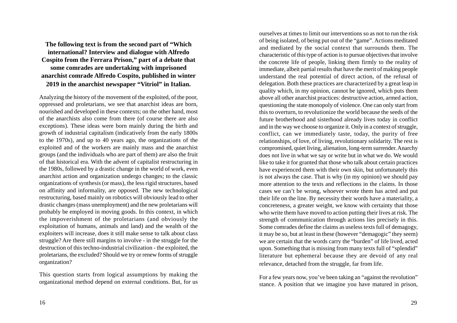**The following text is from the second part of "Which international? Interview and dialogue with Alfredo Cospito from the Ferrara Prison," part of a debate that some comrades are undertaking with imprisoned anarchist comrade Alfredo Cospito, published in winter 2019 in the anarchist newspaper "Vitriol" in Italian.**

Analyzing the history of the movement of the exploited, of the poor, oppressed and proletarians, we see that anarchist ideas are born, nourished and developed in these contexts; on the other hand, most of the anarchists also come from there (of course there are also exceptions). These ideas were born mainly during the birth and growth of industrial capitalism (indicatively from the early 1800s to the 1970s), and up to 40 years ago, the organizations of the exploited and of the workers are mainly mass and the anarchist groups (and the individuals who are part of them) are also the fruit of that historical era. With the advent of capitalist restructuring in the 1980s, followed by a drastic change in the world of work, even anarchist action and organization undergo changes; to the classic organizations of synthesis (or mass), the less rigid structures, based on affinity and informality, are opposed. The new technological restructuring, based mainly on robotics will obviously lead to other drastic changes (mass unemployment) and the new proletarians will probably be employed in moving goods. In this context, in which the impoverishment of the proletarians (and obviously the exploitation of humans, animals and land) and the wealth of the exploiters will increase, does it still make sense to talk about class struggle? Are there still margins to involve - in the struggle for the destruction of this techno-industrial civilization - the exploited, the proletarians, the excluded? Should we try or renew forms of struggle organization?

This question starts from logical assumptions by making the organizational method depend on external conditions. But, for us

ourselves at times to limit our interventions so as not to run the risk of being isolated, of being put out of the "game". Actions meditated and mediated by the social context that surrounds them. The characteristic of this type of action is to pursue objectives that involve the concrete life of people, linking them firmly to the reality of immediate, albeit partial results that have the merit of making people understand the real potential of direct action, of the refusal of delegation. Both these practices are characterized by a great leap in quality which, in my opinion, cannot be ignored, which puts them above all other anarchist practices: destructive action, armed action, questioning the state monopoly of violence. One can only start from this to overturn, to revolutionize the world because the seeds of the future brotherhood and sisterhood already lives today in conflict and in the way we choose to organize it. Only in a context of struggle, conflict, can we immediately taste, today, the purity of free relationships, of love, of living, revolutionary solidarity. The rest is compromised, quiet living, alienation, long-term surrender. Anarchy does not live in what we say or write but in what we do. We would like to take it for granted that those who talk about certain practices have experienced them with their own skin, but unfortunately this is not always the case. That is why (in my opinion) we should pay more attention to the texts and reflections in the claims. In those cases we can't be wrong, whoever wrote them has acted and put their life on the line. By necessity their words have a materiality, a concreteness, a greater weight, we know with certainty that those who write them have moved to action putting their lives at risk. The strength of communication through actions lies precisely in this. Some comrades define the claims as useless texts full of demagogy, it may be so, but at least in these (however "demagogic" they seem) we are certain that the words carry the "burden" of life lived, acted upon. Something that is missing from many texts full of "splendid" literature but ephemeral because they are devoid of any real relevance, detached from the struggle, far from life.

For a few years now, you've been taking an "against the revolution" stance. A position that we imagine you have matured in prison,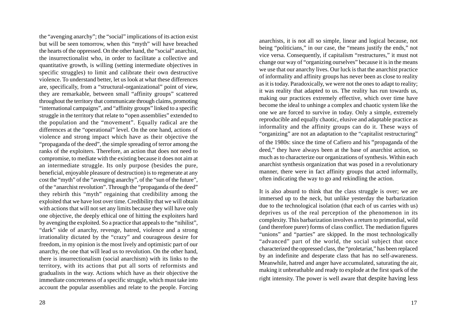the "avenging anarchy"; the "social" implications of its action exist but will be seen tomorrow, when this "myth" will have breached the hearts of the oppressed. On the other hand, the "social" anarchist, the insurrectionalist who, in order to facilitate a collective and quantitative growth, is willing (setting intermediate objectives in specific struggles) to limit and calibrate their own destructive violence. To understand better, let us look at what these differences are, specifically, from a "structural-organizational" point of view, they are remarkable, between small "affinity groups" scattered throughout the territory that communicate through claims, promoting "international campaigns", and "affinity groups" linked to a specific struggle in the territory that relate to "open assemblies" extended to the population and the "movement". Equally radical are the differences at the "operational" level. On the one hand, actions of violence and strong impact which have as their objective the "propaganda of the deed", the simple spreading of terror among the ranks of the exploiters. Therefore, an action that does not need to compromise, to mediate with the existing because it does not aim at an intermediate struggle. Its only purpose (besides the pure, beneficial, enjoyable pleasure of destruction) is to regenerate at any cost the "myth" of the "avenging anarchy", of the "sun of the future", of the "anarchist revolution". Through the "propaganda of the deed" they rebirth this "myth" regaining that credibility among the exploited that we have lost over time. Credibility that we will obtain with actions that will not set any limits because they will have only one objective, the deeply ethical one of hitting the exploiters hard by avenging the exploited. So a practice that appeals to the "nihilist", "dark" side of anarchy, revenge, hatred, violence and a strong irrationality dictated by the "crazy" and courageous desire for freedom, in my opinion is the most lively and optimistic part of our anarchy, the one that will lead us to revolution. On the other hand, there is insurrectionalism (social anarchism) with its links to the territory, with its actions that put all sorts of reformists and gradualists in the way. Actions which have as their objective the immediate concreteness of a specific struggle, which must take into account the popular assemblies and relate to the people. Forcing

anarchists, it is not all so simple, linear and logical because, not being "politicians," in our case, the "means justify the ends," not vice versa. Consequently, if capitalism "restructures," it must not change our way of "organizing ourselves" because it is in the means we use that our anarchy lives. Our luck is that the anarchist practice of informality and affinity groups has never been as close to reality as it is today. Paradoxically, we were not the ones to adapt to reality; it was reality that adapted to us. The reality has run towards us, making our practices extremely effective, which over time have become the ideal to unhinge a complex and chaotic system like the one we are forced to survive in today. Only a simple, extremely reproducible and equally chaotic, elusive and adaptable practice as informality and the affinity groups can do it. These ways of "organizing" are not an adaptation to the "capitalist restructuring" of the 1980s: since the time of Cafiero and his "propaganda of the deed," they have always been at the base of anarchist action, so much as to characterize our organizations of synthesis. Within each anarchist synthesis organization that was posed in a revolutionary manner, there were in fact affinity groups that acted informally, often indicating the way to go and rekindling the action.

It is also absurd to think that the class struggle is over; we are immersed up to the neck, but unlike yesterday the barbarization due to the technological isolation (that each of us carries with us) deprives us of the real perception of the phenomenon in its complexity. This barbarization involves a return to primordial, wild (and therefore purer) forms of class conflict. The mediation figures "unions" and "parties" are skipped. In the most technologically "advanced" part of the world, the social subject that once characterized the oppressed class, the "proletariat," has been replaced by an indefinite and desperate class that has no self-awareness. Meanwhile, hatred and anger have accumulated, saturating the air, making it unbreathable and ready to explode at the first spark of the right intensity. The power is well aware that despite having less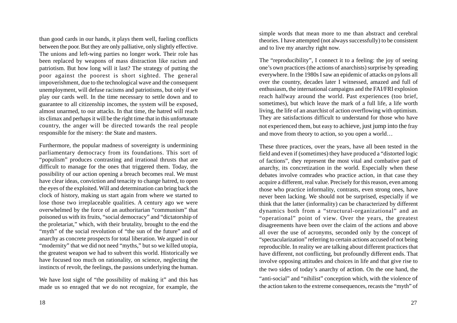than good cards in our hands, it plays them well, fueling conflicts between the poor. But they are only palliative, only slightly effective. The unions and left-wing parties no longer work. Their role has been replaced by weapons of mass distraction like racism and patriotism. But how long will it last? The strategy of putting the poor against the poorest is short sighted. The general impoverishment, due to the technological wave and the consequent unemployment, will defuse racisms and patriotisms, but only if we play our cards well. In the time necessary to settle down and to guarantee to all citizenship incomes, the system will be exposed, almost unarmed, to our attacks. In that time, the hatred will reach its climax and perhaps it will be the right time that in this unfortunate country, the anger will be directed towards the real people responsible for the misery: the State and masters.

Furthermore, the popular madness of sovereignty is undermining parliamentary democracy from its foundations. This sort of "populism" produces contrasting and irrational thrusts that are difficult to manage for the ones that triggered them. Today, the possibility of our action opening a breach becomes real. We must have clear ideas, conviction and tenacity to change hatred, to open the eyes of the exploited. Will and determination can bring back the clock of history, making us start again from where we started to lose those two irreplaceable qualities. A century ago we were overwhelmed by the force of an authoritarian "communism" that poisoned us with its fruits, "social democracy" and "dictatorship of the proletariat," which, with their brutality, brought to the end the "myth" of the social revolution of "the sun of the future" and of anarchy as concrete prospects for total liberation. We argued in our "modernity" that we did not need "myths," but so we killed utopia, the greatest weapon we had to subvert this world. Historically we have focused too much on rationality, on science, neglecting the instincts of revolt, the feelings, the passions underlying the human.

We have lost sight of "the possibility of making it" and this has made us so enraged that we do not recognize, for example, the simple words that mean more to me than abstract and cerebral theories. I have attempted (not always successfully) to be consistent and to live my anarchy right now.

The "reproducibility", I connect it to a feeling: the joy of seeing one's own practices (the actions of anarchists) surprise by spreading everywhere. In the 1980s I saw an epidemic of attacks on pylons all over the country, decades later I witnessed, amazed and full of enthusiasm, the international campaigns and the FAI/FRI explosion reach halfway around the world. Past experiences (too brief, sometimes), but which leave the mark of a full life, a life worth living, the life of an anarchist of action overflowing with optimism. They are satisfactions difficult to understand for those who have not experienced them, but easy to achieve, just jump into the fray and move from theory to action, so you open a world…

These three practices, over the years, have all been tested in the field and even if (sometimes) they have produced a "distorted logic of factions", they represent the most vital and combative part of anarchy, its concretization in the world. Especially when these debates involve comrades who practice action, in that case they acquire a different, real value. Precisely for this reason, even among those who practice informality, contrasts, even strong ones, have never been lacking. We should not be surprised, especially if we think that the latter (informality) can be characterized by different dynamics both from a "structural-organizational" and an "operational" point of view. Over the years, the greatest disagreements have been over the claim of the actions and above all over the use of acronyms, seconded only by the concept of "spectacularization" referring to certain actions accused of not being reproducible. In reality we are talking about different practices that have different, not conflicting, but profoundly different ends. That involve opposing attitudes and choices in life and that give rise to the two sides of today's anarchy of action. On the one hand, the "anti-social" and "nihilist" conception which, with the violence of the action taken to the extreme consequences, recasts the "myth" of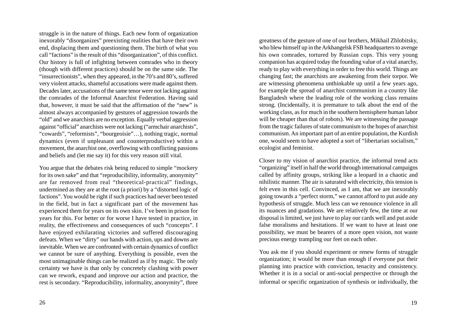struggle is in the nature of things. Each new form of organization inexorably "disorganizes" preexisting realities that have their own end, displacing them and questioning them. The birth of what you call "factions" is the result of this "disorganization", of this conflict. Our history is full of infighting between comrades who in theory (though with different practices) should be on the same side. The "insurrectionists", when they appeared, in the 70's and 80's, suffered very violent attacks, shameful accusations were made against them. Decades later, accusations of the same tenor were not lacking against the comrades of the Informal Anarchist Federation. Having said that, however, it must be said that the affirmation of the "new" is almost always accompanied by gestures of aggression towards the "old" and we anarchists are no exception. Equally verbal aggression against "official" anarchists were not lacking ("armchair anarchists", "cowards", "reformists", "bourgeoisie"…), nothing tragic, normal dynamics (even if unpleasant and counterproductive) within a movement, the anarchist one, overflowing with conflicting passions and beliefs and (let me say it) for this very reason still vital.

You argue that the debates risk being reduced to simple "mockery for its own sake" and that "reproducibility, informality, anonymity" are far removed from real "theoretical-practical" findings, undermined as they are at the root (a priori) by a "distorted logic of factions". You would be right if such practices had never been tested in the field, but in fact a significant part of the movement has experienced them for years on its own skin. I've been in prison for years for this. For better or for worse I have tested in practice, in reality, the effectiveness and consequences of such "concepts". I have enjoyed exhilarating victories and suffered discouraging defeats. When we "dirty" our hands with action, ups and downs are inevitable. When we are confronted with certain dynamics of conflict we cannot be sure of anything. Everything is possible, even the most unimaginable things can be realized as if by magic. The only certainty we have is that only by concretely clashing with power can we rework, expand and improve our action and practice, the rest is secondary. "Reproducibility, informality, anonymity", three

greatness of the gesture of one of our brothers, Mikhail Zhlobitsky, who blew himself up in the Arkhangelsk FSB headquarters to avenge his own comrades, tortured by Russian cops. This very young companion has acquired today the founding value of a vital anarchy, ready to play with everything in order to free this world. Things are changing fast; the anarchists are awakening from their torpor. We are witnessing phenomena unthinkable up until a few years ago, for example the spread of anarchist communism in a country like Bangladesh where the leading role of the working class remains strong. (Incidentally, it is premature to talk about the end of the working class, as for much in the southern hemisphere human labor will be cheaper than that of robots). We are witnessing the passage from the tragic failures of state communism to the hopes of anarchist communism. An important part of an entire population, the Kurdish one, would seem to have adopted a sort of "libertarian socialism," ecologist and feminist.

Closer to my vision of anarchist practice, the informal trend acts "organizing" itself in half the world through international campaigns called by affinity groups, striking like a leopard in a chaotic and nihilistic manner. The air is saturated with electricity, this tension is felt even in this cell. Convinced, as I am, that we are inexorably going towards a "perfect storm," we cannot afford to put aside any hypothesis of struggle. Much less can we renounce violence in all its nuances and gradations. We are relatively few, the time at our disposal is limited, we just have to play our cards well and put aside false moralisms and hesitations. If we want to have at least one possibility, we must be bearers of a more open vision, not waste precious energy trampling our feet on each other.

You ask me if you should experiment or renew forms of struggle organization; it would be more than enough if everyone put their planning into practice with conviction, tenacity and consistency. Whether it is in a social or anti-social perspective or through the informal or specific organization of synthesis or individually, the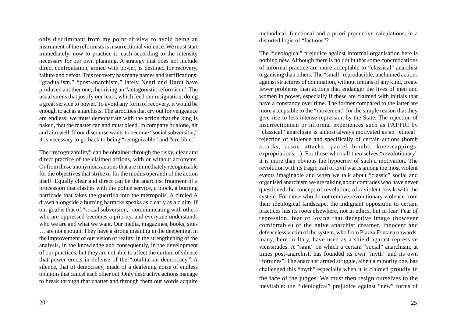only discriminant from my point of view to avoid being an instrument of the reformists is insurrectional violence. We must start immediately, now to practice it, each according to the intensity necessary for our own planning. A strategy that does not include direct confrontation, armed with power, is destined for recovery, failure and defeat. This recovery has many names and justifications: "gradualism," "post-anarchism," lately Negri and Hardt have produced another one, theorising an "antagonistic reformism". The usual sirens that justify our fears, which feed our resignation, doing a great service to power. To avoid any form of recovery, it would be enough to act as anarchists. The atrocities that cry out for vengeance are endless; we must demonstrate with the action that the king is naked, that the master can and must bleed. In company or alone, hit and aim well. If our discourse wants to become "social subversion," it is necessary to go back to being "recognizable" and "credible."

The "recognizability" can be obtained through the risky, clear and direct practice of the claimed actions, with or without acronyms. Or from those anonymous actions that are immediately recognizable for the objectives that strike or for the modus operandi of the action itself. Equally clear and direct can be the anarchist fragment of a procession that clashes with the police service, a block, a burning barricade that takes the guerrilla into the metropolis. A circled A drawn alongside a burning barracks speaks as clearly as a claim. If our goal is that of "social subversion," communicating with others who are oppressed becomes a priority, and everyone understands who we are and what we want. Our media, magazines, books, sites … are not enough. They have a strong meaning in the deepening, in the improvement of our vision of reality, in the strengthening of the analysis, in the knowledge and consequently, in the development of our practices, but they are not able to affect the curtain of silence that power erects in defense of the "totalitarian democracy." A silence, that of democracy, made of a deafening noise of endless opinions that cancel each other out. Only destructive actions manage to break through that chatter and through them our words acquire

methodical, functional and a priori productive calculations, in a distorted logic of "factions"?

The "ideological" prejudice against informal organisation here is nothing new. Although there is no doubt that some concretizations of informal practice are more acceptable to "classical" anarchist organising than others. The "small" reproducible, unclaimed actions against structures of domination, without initials of any kind, create fewer problems than actions that endanger the lives of men and women in power, especially if these are claimed with initials that have a constancy over time. The former compared to the latter are more acceptable to the "movement" for the simple reason that they give rise to less intense repression by the State. The rejection of insurrectionism or informal experiences such as FAI/FRI by "classical" anarchism is almost always motivated as an "ethical" rejection of violence and specifically of certain actions (bomb attacks, arson attacks, parcel bombs, knee-cappings, expropriations…). For those who call themselves "revolutionary" it is more than obvious the hypocrisy of such a motivation. The revolution with its tragic trail of civil war is among the most violent events imaginable and when we talk about "classic" social and organised anarchism we are talking about comrades who have never questioned the concept of revolution, of a violent break with the system. For those who do not remove revolutionary violence from their ideological landscape, the indignant opposition to certain practices has its roots elsewhere, not in ethics, but in fear. Fear of repression, fear of losing that deceptive image (however comfortable) of the naive anarchist dreamer, innocent and defenceless victim of the system, who from Piazza Fontana onwards, many, here in Italy, have used as a shield against repressive vicissitudes. A "saint" on which a certain "social" anarchism, at times post-anarchist, has founded its own "myth" and its own "fortunes". The anarchist armed struggle, albeit a minority one, has challenged this "myth" especially when it is claimed proudly in the face of the judges. We must then resign ourselves to the inevitable: the "ideological" prejudice against "new" forms of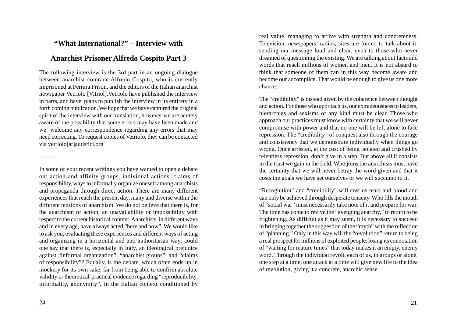## **"What International?" – Interview with**

## **Anarchist Prisoner Alfredo Cospito Part 3**

The following interview is the 3rd part in an ongoing dialogue between anarchist comrade Alfredo Cospito, who is currently imprisoned at Ferrara Prison, and the editors of the Italian anarchist newspaper Vetriolo [Vitriol].Vetriolo have published the interview in parts, and have plans to publish the interview in its entirety in a forth coming publication. We hope that we have captured the original spirit of the interview with our translation, however we are acutely aware of the possibility that some errors may have been made and we welcome any correspondence regarding any errors that may need correcting. To request copies of Vetriolo, they can be contacted via vetriolo[at]autistici.org

real value, managing to arrive with strength and concreteness. Television, newspapers, radios, sites are forced to talk about it, sending our message loud and clear, even to those who never dreamed of questioning the existing. We are talking about facts and words that reach millions of women and men. It is not absurd to think that someone of them can in this way become aware and become our accomplice. That would be enough to give us one more chance.

The "credibility" is instead given by the coherence between thought and action. For those who approach us, our extraneousness to leaders, hierarchies and sexisms of any kind must be clear. Those who approach our practices must know with certainty that we will never compromise with power and that no one will be left alone to face repression. The "credibility" of conquest also through the courage and consistency that we demonstrate individually when things go wrong. Once arrested, at the cost of being isolated and crushed by relentless repression, don't give in a step. But above all it consists in the trust we gain in the field. Who joins the anarchists must have the certainty that we will never betray the word given and that it costs the goals we have set ourselves or we will succumb to it.

"Recognition" and "credibility" will cost us tears and blood and can only be achieved through desperate tenacity. Who fills the mouth of "social war" must necessarily take note of it and prepare for war. The time has come to revive the "avenging anarchy," to return to be frightening. As difficult as it may seem, it is necessary to succeed in bringing together the suggestion of the "myth" with the reflection of "planning." Only in this way will the "revolution" return to being a real prospect for millions of exploited people, losing its connotation of "waiting for mature times" that today makes it an empty, enemy word. Through the individual revolt, each of us, in groups or alone, one step at a time, one attack at a time will give new life to the idea of revolution, giving it a concrete, anarchic sense.

--------

In some of your recent writings you have wanted to open a debate on: action and affinity groups, individual actions, claims of responsibility, ways to informally organize oneself among anarchists and propaganda through direct action. There are many different experiences that reach the present day, many and diverse within the different tensions of anarchism. We do not believe that there is, for the anarchism of action, an unavailability or impossibility with respect to the current historical context. Anarchists, in different ways and in every age, have always acted "here and now". We would like to ask you, evaluating these experiences and different ways of acting and organizing in a horizontal and anti-authoritarian way: could one say that there is, especially in Italy, an ideological prejudice against "informal organization", "anarchist groups", and "claims of responsibility"? Equally, is the debate, which often ends up in mockery for its own sake, far from being able to confirm absolute validity or theoretical-practical evidence regarding "reproducibility, informality, anonymity", in the Italian context conditioned by